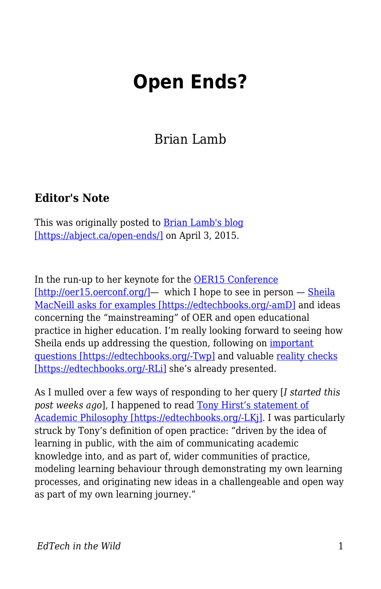## **Open Ends?**

Brian Lamb

## **Editor's Note**

This was originally posted to [Brian Lamb's blog](https://abject.ca/open-ends/) [\[https://abject.ca/open-ends/\]](https://abject.ca/open-ends/) on April 3, 2015.

In the run-up to her keynote for the **OER15** Conference [\[http://oer15.oerconf.org/\]](http://oer15.oerconf.org/)— which I hope to see in person — [Sheila](https://howsheilaseesit.wordpress.com/2015/02/23/how-do-you-mainstream-open-education-and-oers-a-bit-of-feedback-sought-for-oer15/) [MacNeill asks for examples \[https://edtechbooks.org/-amD\]](https://howsheilaseesit.wordpress.com/2015/02/23/how-do-you-mainstream-open-education-and-oers-a-bit-of-feedback-sought-for-oer15/) and ideas concerning the "mainstreaming" of OER and open educational practice in higher education. I'm really looking forward to seeing how Sheila ends up addressing the question, following on [important](https://howsheilaseesit.wordpress.com/2014/03/16/guest-post-why-the-opposite-of-open-isnt-necessarily-broken/) [questions \[https://edtechbooks.org/-Twp\]](https://howsheilaseesit.wordpress.com/2014/03/16/guest-post-why-the-opposite-of-open-isnt-necessarily-broken/) and valuable [reality checks](https://howsheilaseesit.wordpress.com/2014/06/06/open-education-practice-luxury-item-or-everyday-essential-openscot/) [\[https://edtechbooks.org/-RLi\]](https://howsheilaseesit.wordpress.com/2014/06/06/open-education-practice-luxury-item-or-everyday-essential-openscot/) she's already presented.

As I mulled over a few ways of responding to her query [*I started this post weeks ago*], I happened to read [Tony Hirst's statement of](http://blog.ouseful.info/2015/02/19/open-practice-and-my-academic-philosophy-sort-of-erm-maybe-perhaps/) [Academic Philosophy \[https://edtechbooks.org/-LKj\].](http://blog.ouseful.info/2015/02/19/open-practice-and-my-academic-philosophy-sort-of-erm-maybe-perhaps/) I was particularly struck by Tony's definition of open practice: "driven by the idea of learning in public, with the aim of communicating academic knowledge into, and as part of, wider communities of practice, modeling learning behaviour through demonstrating my own learning processes, and originating new ideas in a challengeable and open way as part of my own learning journey."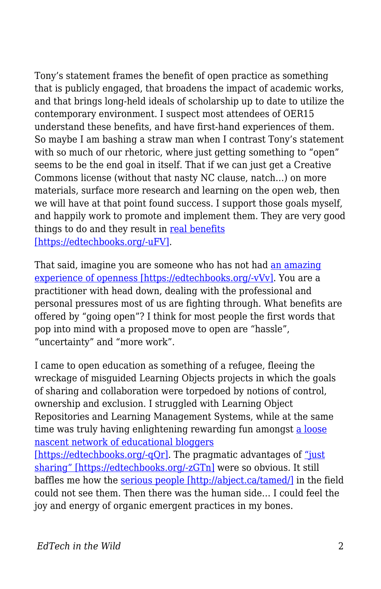Tony's statement frames the benefit of open practice as something that is publicly engaged, that broadens the impact of academic works, and that brings long-held ideals of scholarship up to date to utilize the contemporary environment. I suspect most attendees of OER15 understand these benefits, and have first-hand experiences of them. So maybe I am bashing a straw man when I contrast Tony's statement with so much of our rhetoric, where just getting something to "open" seems to be the end goal in itself. That if we can just get a Creative Commons license (without that nasty NC clause, natch…) on more materials, surface more research and learning on the open web, then we will have at that point found success. I support those goals myself, and happily work to promote and implement them. They are very good things to do and they result in [real benefits](http://opencontent.org/blog/archives/3743) [\[https://edtechbooks.org/-uFV\].](http://opencontent.org/blog/archives/3743)

That said, imagine you are someone who has not had [an amazing](http://cogdogblog.com/stuff/etug11/) [experience of openness \[https://edtechbooks.org/-vVv\]](http://cogdogblog.com/stuff/etug11/). You are a practitioner with head down, dealing with the professional and personal pressures most of us are fighting through. What benefits are offered by "going open"? I think for most people the first words that pop into mind with a proposed move to open are "hassle", "uncertainty" and "more work".

I came to open education as something of a refugee, fleeing the wreckage of misguided Learning Objects projects in which the goals of sharing and collaboration were torpedoed by notions of control, ownership and exclusion. I struggled with Learning Object Repositories and Learning Management Systems, while at the same time was truly having enlightening rewarding fun amongst [a loose](http://web.archive.org/web/20060208184701/http://careo.elearning.ubc.ca/cgi-bin/wiki.pl?SmallPiecesLooselyJoined/ParticipantList) [nascent network of educational bloggers](http://web.archive.org/web/20060208184701/http://careo.elearning.ubc.ca/cgi-bin/wiki.pl?SmallPiecesLooselyJoined/ParticipantList)

[\[https://edtechbooks.org/-qQr\].](http://web.archive.org/web/20060208184701/http://careo.elearning.ubc.ca/cgi-bin/wiki.pl?SmallPiecesLooselyJoined/ParticipantList) The pragmatic advantages of ["just](http://www.edtechpost.ca/wordpress/2008/11/08/just-share-already/) [sharing" \[https://edtechbooks.org/-zGTn\]](http://www.edtechpost.ca/wordpress/2008/11/08/just-share-already/) were so obvious. It still baffles me how the [serious people \[http://abject.ca/tamed/\]](http://abject.ca/tamed/) in the field could not see them. Then there was the human side… I could feel the joy and energy of organic emergent practices in my bones.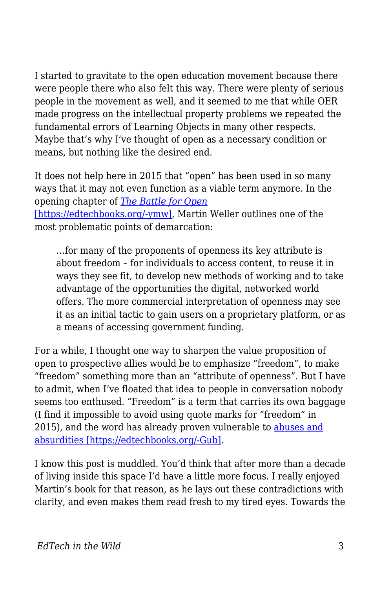I started to gravitate to the open education movement because there were people there who also felt this way. There were plenty of serious people in the movement as well, and it seemed to me that while OER made progress on the intellectual property problems we repeated the fundamental errors of Learning Objects in many other respects. Maybe that's why I've thought of open as a necessary condition or means, but nothing like the desired end.

It does not help here in 2015 that "open" has been used in so many ways that it may not even function as a viable term anymore. In the opening chapter of *[The Battle for Open](http://www.ubiquitypress.com/site/books/detail/11/battle-for-open/)* [\[https://edtechbooks.org/-ymw\],](http://www.ubiquitypress.com/site/books/detail/11/battle-for-open/) Martin Weller outlines one of the most problematic points of demarcation:

…for many of the proponents of openness its key attribute is about freedom – for individuals to access content, to reuse it in ways they see fit, to develop new methods of working and to take advantage of the opportunities the digital, networked world offers. The more commercial interpretation of openness may see it as an initial tactic to gain users on a proprietary platform, or as a means of accessing government funding.

For a while, I thought one way to sharpen the value proposition of open to prospective allies would be to emphasize "freedom", to make "freedom" something more than an "attribute of openness". But I have to admit, when I've floated that idea to people in conversation nobody seems too enthused. "Freedom" is a term that carries its own baggage (I find it impossible to avoid using quote marks for "freedom" in 2015), and the word has already proven vulnerable to [abuses and](http://en.wikipedia.org/wiki/Freedom_fries) [absurdities \[https://edtechbooks.org/-Gub\].](http://en.wikipedia.org/wiki/Freedom_fries)

I know this post is muddled. You'd think that after more than a decade of living inside this space I'd have a little more focus. I really enjoyed Martin's book for that reason, as he lays out these contradictions with clarity, and even makes them read fresh to my tired eyes. Towards the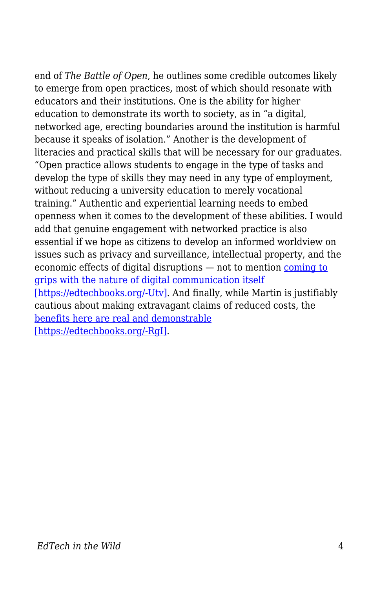end of *The Battle of Open*, he outlines some credible outcomes likely to emerge from open practices, most of which should resonate with educators and their institutions. One is the ability for higher education to demonstrate its worth to society, as in "a digital, networked age, erecting boundaries around the institution is harmful because it speaks of isolation." Another is the development of literacies and practical skills that will be necessary for our graduates. "Open practice allows students to engage in the type of tasks and develop the type of skills they may need in any type of employment, without reducing a university education to merely vocational training." Authentic and experiential learning needs to embed openness when it comes to the development of these abilities. I would add that genuine engagement with networked practice is also essential if we hope as citizens to develop an informed worldview on issues such as privacy and surveillance, intellectual property, and the economic effects of digital disruptions — not to mention [coming to](http://hapgood.us/2015/04/01/picketty-remix-and-the-most-important-student-blog-comment-of-the-21st-century/) [grips with the nature of digital communication itself](http://hapgood.us/2015/04/01/picketty-remix-and-the-most-important-student-blog-comment-of-the-21st-century/) [\[https://edtechbooks.org/-Utv\].](http://hapgood.us/2015/04/01/picketty-remix-and-the-most-important-student-blog-comment-of-the-21st-century/) And finally, while Martin is justifiably cautious about making extravagant claims of reduced costs, the [benefits here are real and demonstrable](http://opencontent.org/blog/archives/3791) [\[https://edtechbooks.org/-RgI\].](http://opencontent.org/blog/archives/3791)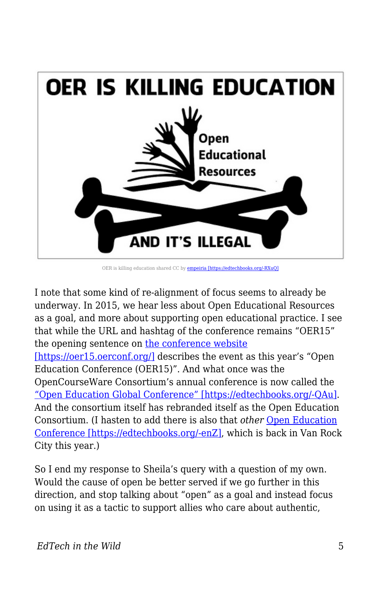

OER is killing education shared CC by [empeiria \[https://edtechbooks.org/-RXuQ\]](http://flickr.com/people/empeiria)

I note that some kind of re-alignment of focus seems to already be underway. In 2015, we hear less about Open Educational Resources as a goal, and more about supporting open educational practice. I see that while the URL and hashtag of the conference remains "OER15" the opening sentence on [the conference website](https://oer15.oerconf.org/) [\[https://oer15.oerconf.org/\]](https://oer15.oerconf.org/) describes the event as this year's "Open" Education Conference (OER15)". And what once was the OpenCourseWare Consortium's annual conference is now called the ["Open Education Global Conference" \[https://edtechbooks.org/-QAu\]](http://conference.oeconsortium.org/2015/). And the consortium itself has rebranded itself as the Open Education Consortium. (I hasten to add there is also that *other* [Open Education](http://openedconference.org/2015/) [Conference \[https://edtechbooks.org/-enZ\]](http://openedconference.org/2015/), which is back in Van Rock City this year.)

So I end my response to Sheila's query with a question of my own. Would the cause of open be better served if we go further in this direction, and stop talking about "open" as a goal and instead focus on using it as a tactic to support allies who care about authentic,